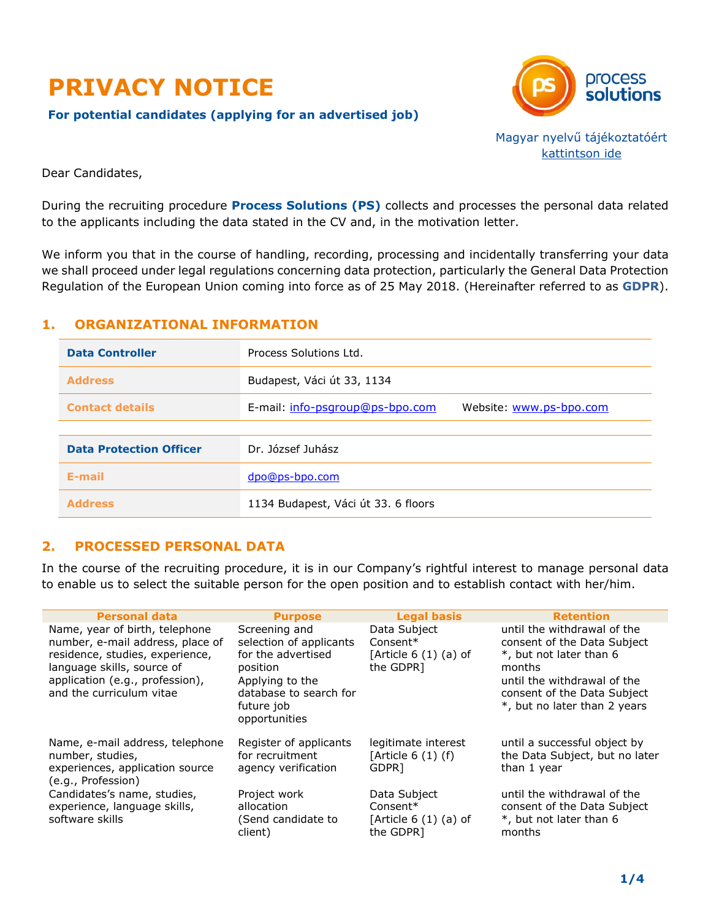

**For potential candidates (applying for an advertised job)**



Magyar nyelvű tájékoztatóért [kattintson ide](https://career.ps-bpo.com/wp-content/uploads/2022/04/dp03001-adatkezelesi-tajekoztato-palyazoknak-hun-web.pdf)

Dear Candidates,

During the recruiting procedure **Process Solutions (PS)** collects and processes the personal data related to the applicants including the data stated in the CV and, in the motivation letter.

We inform you that in the course of handling, recording, processing and incidentally transferring your data we shall proceed under legal regulations concerning data protection, particularly the General Data Protection Regulation of the European Union coming into force as of 25 May 2018. (Hereinafter referred to as **GDPR**).

# **1. ORGANIZATIONAL INFORMATION**

| <b>Data Controller</b>         | Process Solutions Ltd.              |                         |
|--------------------------------|-------------------------------------|-------------------------|
| <b>Address</b>                 | Budapest, Váci út 33, 1134          |                         |
| <b>Contact details</b>         | E-mail: info-psgroup@ps-bpo.com     | Website: www.ps-bpo.com |
|                                |                                     |                         |
| <b>Data Protection Officer</b> | Dr. József Juhász                   |                         |
| E-mail                         | dpo@ps-bpo.com                      |                         |
| <b>Address</b>                 | 1134 Budapest, Váci út 33. 6 floors |                         |

# **2. PROCESSED PERSONAL DATA**

In the course of the recruiting procedure, it is in our Company's rightful interest to manage personal data to enable us to select the suitable person for the open position and to establish contact with her/him.

| <b>Personal data</b>                                                                                                                                                                               | <b>Purpose</b>                                                             | <b>Legal basis</b>                                               | <b>Retention</b>                                                                                |
|----------------------------------------------------------------------------------------------------------------------------------------------------------------------------------------------------|----------------------------------------------------------------------------|------------------------------------------------------------------|-------------------------------------------------------------------------------------------------|
| Name, year of birth, telephone<br>number, e-mail address, place of<br>residence, studies, experience,<br>language skills, source of<br>application (e.g., profession),<br>and the curriculum vitae | Screening and<br>selection of applicants<br>for the advertised<br>position | Data Subject<br>$Consent*$<br>[Article $6(1)(a)$ of<br>the GDPR] | until the withdrawal of the<br>consent of the Data Subject<br>*, but not later than 6<br>months |
|                                                                                                                                                                                                    | Applying to the<br>database to search for<br>future job<br>opportunities   |                                                                  | until the withdrawal of the<br>consent of the Data Subject<br>*, but no later than 2 years      |
| Name, e-mail address, telephone<br>number, studies,<br>experiences, application source<br>(e.g., Profession)                                                                                       | Register of applicants<br>for recruitment<br>agency verification           | legitimate interest<br>[Article $6(1)(f)$<br>GDPR <sub>1</sub>   | until a successful object by<br>the Data Subject, but no later<br>than 1 year                   |
| Candidates's name, studies,<br>experience, language skills,<br>software skills                                                                                                                     | Project work<br>allocation<br>(Send candidate to<br>client)                | Data Subject<br>$Consent*$<br>[Article $6(1)(a)$ of<br>the GDPR] | until the withdrawal of the<br>consent of the Data Subject<br>*, but not later than 6<br>months |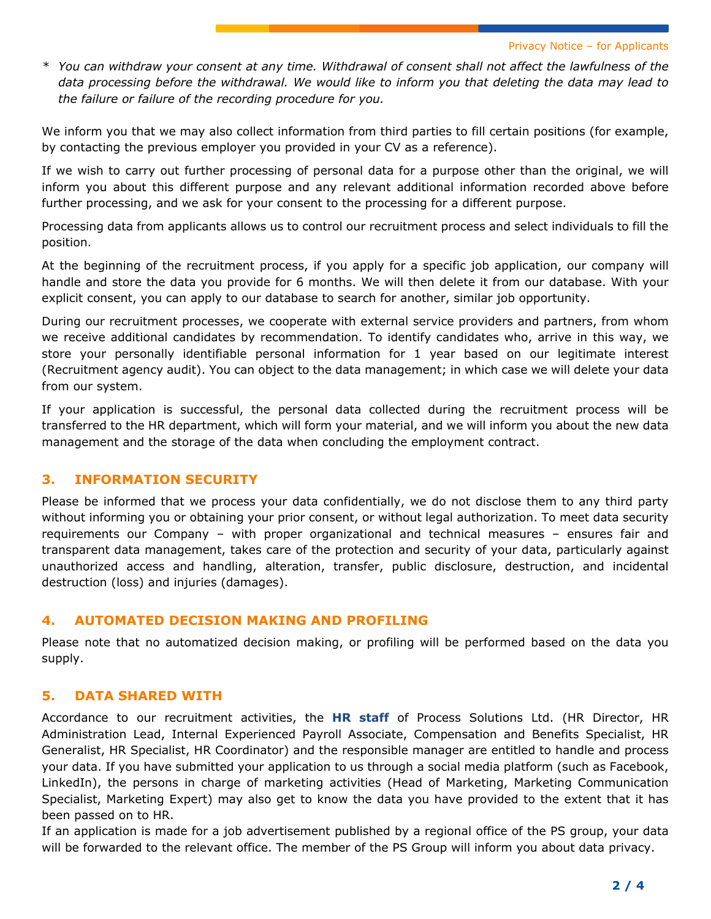*\* You can withdraw your consent at any time. Withdrawal of consent shall not affect the lawfulness of the data processing before the withdrawal. We would like to inform you that deleting the data may lead to the failure or failure of the recording procedure for you.*

We inform you that we may also collect information from third parties to fill certain positions (for example, by contacting the previous employer you provided in your CV as a reference).

If we wish to carry out further processing of personal data for a purpose other than the original, we will inform you about this different purpose and any relevant additional information recorded above before further processing, and we ask for your consent to the processing for a different purpose.

Processing data from applicants allows us to control our recruitment process and select individuals to fill the position.

At the beginning of the recruitment process, if you apply for a specific job application, our company will handle and store the data you provide for 6 months. We will then delete it from our database. With your explicit consent, you can apply to our database to search for another, similar job opportunity.

During our recruitment processes, we cooperate with external service providers and partners, from whom we receive additional candidates by recommendation. To identify candidates who, arrive in this way, we store your personally identifiable personal information for 1 year based on our legitimate interest (Recruitment agency audit). You can object to the data management; in which case we will delete your data from our system.

If your application is successful, the personal data collected during the recruitment process will be transferred to the HR department, which will form your material, and we will inform you about the new data management and the storage of the data when concluding the employment contract.

## **3. INFORMATION SECURITY**

Please be informed that we process your data confidentially, we do not disclose them to any third party without informing you or obtaining your prior consent, or without legal authorization. To meet data security requirements our Company – with proper organizational and technical measures – ensures fair and transparent data management, takes care of the protection and security of your data, particularly against unauthorized access and handling, alteration, transfer, public disclosure, destruction, and incidental destruction (loss) and injuries (damages).

## **4. AUTOMATED DECISION MAKING AND PROFILING**

Please note that no automatized decision making, or profiling will be performed based on the data you supply.

## **5. DATA SHARED WITH**

Accordance to our recruitment activities, the **HR staff** of Process Solutions Ltd. (HR Director, HR Administration Lead, Internal Experienced Payroll Associate, Compensation and Benefits Specialist, HR Generalist, HR Specialist, HR Coordinator) and the responsible manager are entitled to handle and process your data. If you have submitted your application to us through a social media platform (such as Facebook, LinkedIn), the persons in charge of marketing activities (Head of Marketing, Marketing Communication Specialist, Marketing Expert) may also get to know the data you have provided to the extent that it has been passed on to HR.

If an application is made for a job advertisement published by a regional office of the PS group, your data will be forwarded to the relevant office. The member of the PS Group will inform you about data privacy.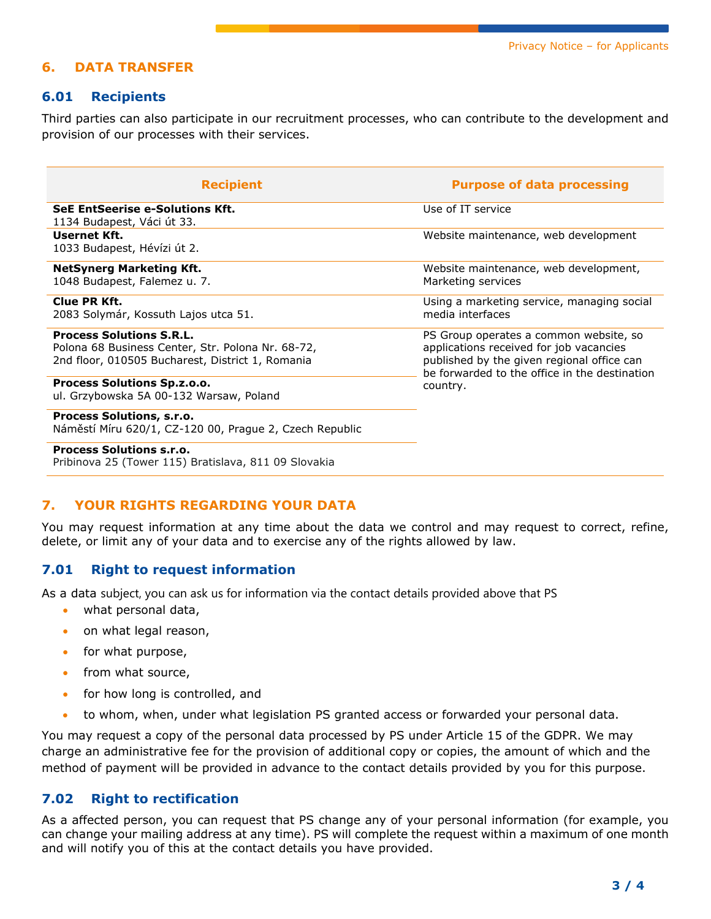# **6. DATA TRANSFER**

### **6.01 Recipients**

Third parties can also participate in our recruitment processes, who can contribute to the development and provision of our processes with their services.

| <b>Recipient</b>                                                                                                                         | <b>Purpose of data processing</b>                                                                                                                                                            |  |
|------------------------------------------------------------------------------------------------------------------------------------------|----------------------------------------------------------------------------------------------------------------------------------------------------------------------------------------------|--|
| <b>SeE EntSeerise e-Solutions Kft.</b><br>1134 Budapest, Váci út 33.                                                                     | Use of IT service                                                                                                                                                                            |  |
| Usernet Kft.<br>1033 Budapest, Hévízi út 2.                                                                                              | Website maintenance, web development                                                                                                                                                         |  |
| <b>NetSynerg Marketing Kft.</b><br>1048 Budapest, Falemez u. 7.                                                                          | Website maintenance, web development,<br>Marketing services                                                                                                                                  |  |
| Clue PR Kft.<br>2083 Solymár, Kossuth Lajos utca 51.                                                                                     | Using a marketing service, managing social<br>media interfaces                                                                                                                               |  |
| <b>Process Solutions S.R.L.</b><br>Polona 68 Business Center, Str. Polona Nr. 68-72,<br>2nd floor, 010505 Bucharest, District 1, Romania | PS Group operates a common website, so<br>applications received for job vacancies<br>published by the given regional office can<br>be forwarded to the office in the destination<br>country. |  |
| <b>Process Solutions Sp.z.o.o.</b><br>ul. Grzybowska 5A 00-132 Warsaw, Poland                                                            |                                                                                                                                                                                              |  |
| <b>Process Solutions, s.r.o.</b><br>Náměstí Míru 620/1, CZ-120 00, Prague 2, Czech Republic                                              |                                                                                                                                                                                              |  |
| <b>Process Solutions s.r.o.</b><br>Pribinova 25 (Tower 115) Bratislava, 811 09 Slovakia                                                  |                                                                                                                                                                                              |  |

## **7. YOUR RIGHTS REGARDING YOUR DATA**

You may request information at any time about the data we control and may request to correct, refine, delete, or limit any of your data and to exercise any of the rights allowed by law.

#### **7.01 Right to request information**

As a data subject, you can ask us for information via the contact details provided above that PS

- what personal data,
- on what legal reason,
- for what purpose,
- from what source,
- for how long is controlled, and
- to whom, when, under what legislation PS granted access or forwarded your personal data.

You may request a copy of the personal data processed by PS under Article 15 of the GDPR. We may charge an administrative fee for the provision of additional copy or copies, the amount of which and the method of payment will be provided in advance to the contact details provided by you for this purpose.

### **7.02 Right to rectification**

As a affected person, you can request that PS change any of your personal information (for example, you can change your mailing address at any time). PS will complete the request within a maximum of one month and will notify you of this at the contact details you have provided.